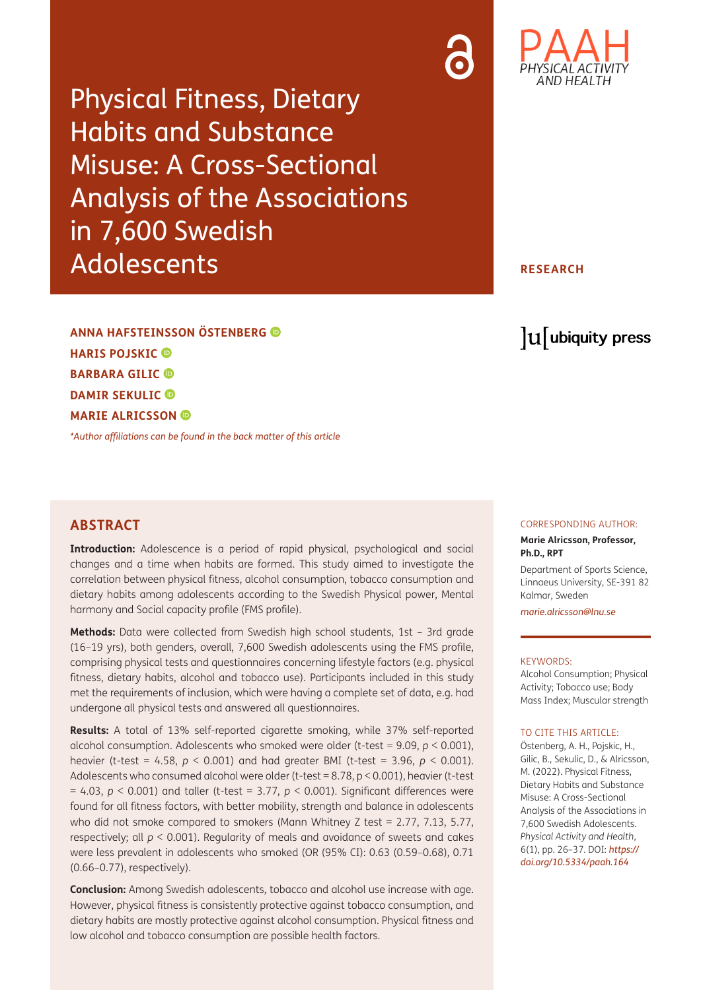Physical Fitness, Dietary Habits and Substance Misuse: A Cross-Sectional Analysis of the Associations in 7,600 Swedish Adolescents

### **RESEARCH**

**ANNA HAFSTEINSSON ÖSTENBERG HARIS POJSKIC BARBARA GILIC DAMIR SEKULIC MARIE ALRICSSON** 

*[\\*Author affiliations can be found in the back matter of this article](#page-8-0)*

## **ABSTRACT**

**Introduction:** Adolescence is a period of rapid physical, psychological and social changes and a time when habits are formed. This study aimed to investigate the correlation between physical fitness, alcohol consumption, tobacco consumption and dietary habits among adolescents according to the Swedish Physical power, Mental harmony and Social capacity profile (FMS profile).

**Methods:** Data were collected from Swedish high school students, 1st – 3rd grade (16–19 yrs), both genders, overall, 7,600 Swedish adolescents using the FMS profile, comprising physical tests and questionnaires concerning lifestyle factors (e.g. physical fitness, dietary habits, alcohol and tobacco use). Participants included in this study met the requirements of inclusion, which were having a complete set of data, e.g. had undergone all physical tests and answered all questionnaires.

**Results:** A total of 13% self-reported cigarette smoking, while 37% self-reported alcohol consumption. Adolescents who smoked were older (t-test = 9.09, *p* < 0.001), heavier (t-test = 4.58, *p* < 0.001) and had greater BMI (t-test = 3.96, *p* < 0.001). Adolescents who consumed alcohol were older (t-test = 8.78, p < 0.001), heavier (t-test = 4.03, *p* < 0.001) and taller (t-test = 3.77, *p* < 0.001). Significant differences were found for all fitness factors, with better mobility, strength and balance in adolescents who did not smoke compared to smokers (Mann Whitney Z test = 2.77, 7.13, 5.77, respectively; all *p* < 0.001). Regularity of meals and avoidance of sweets and cakes were less prevalent in adolescents who smoked (OR (95% CI): 0.63 (0.59–0.68), 0.71 (0.66–0.77), respectively).

**Conclusion:** Among Swedish adolescents, tobacco and alcohol use increase with age. However, physical fitness is consistently protective against tobacco consumption, and dietary habits are mostly protective against alcohol consumption. Physical fitness and low alcohol and tobacco consumption are possible health factors.

#### CORRESPONDING AUTHOR:

lu ubiquity press

#### **Marie Alricsson, Professor, Ph.D., RPT**

Department of Sports Science, Linnaeus University, SE-391 82 Kalmar, Sweden

*[marie.alricsson@lnu.se](mailto:marie.alricsson@lnu.se)*

#### KEYWORDS:

Alcohol Consumption; Physical Activity; Tobacco use; Body Mass Index; Muscular strength

#### TO CITE THIS ARTICLE:

Östenberg, A. H., Pojskic, H., Gilic, B., Sekulic, D., & Alricsson, M. (2022). Physical Fitness, Dietary Habits and Substance Misuse: A Cross-Sectional Analysis of the Associations in 7,600 Swedish Adolescents. *Physical Activity and Health*, 6(1), pp. 26–37. DOI: *[https://](https://doi.org/10.5334/paah.164) [doi.org/10.5334/paah.164](https://doi.org/10.5334/paah.164)*